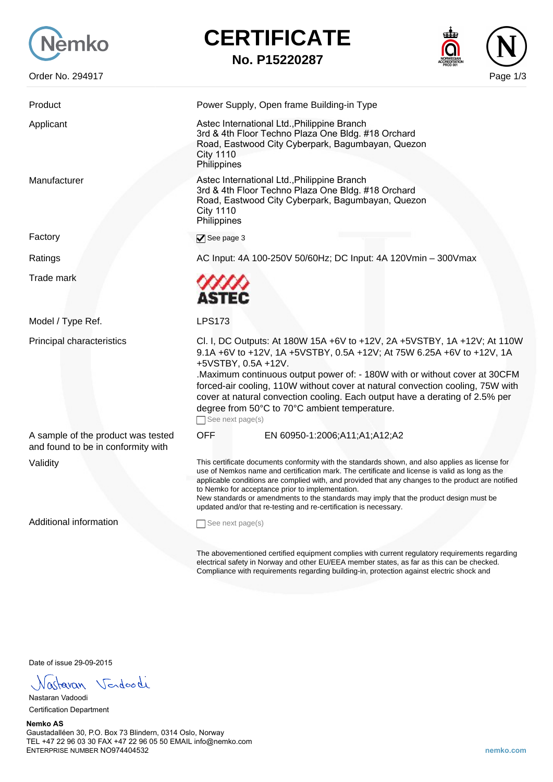

Factory





| Product                                                                  | Power Supply, Open frame Building-in Type                                                                                                                                                                                                                                                                                                                                                                                                                                                                                  |
|--------------------------------------------------------------------------|----------------------------------------------------------------------------------------------------------------------------------------------------------------------------------------------------------------------------------------------------------------------------------------------------------------------------------------------------------------------------------------------------------------------------------------------------------------------------------------------------------------------------|
| Applicant                                                                | Astec International Ltd., Philippine Branch<br>3rd & 4th Floor Techno Plaza One Bldg. #18 Orchard<br>Road, Eastwood City Cyberpark, Bagumbayan, Quezon<br><b>City 1110</b><br>Philippines                                                                                                                                                                                                                                                                                                                                  |
| Manufacturer                                                             | Astec International Ltd., Philippine Branch<br>3rd & 4th Floor Techno Plaza One Bldg. #18 Orchard<br>Road, Eastwood City Cyberpark, Bagumbayan, Quezon<br><b>City 1110</b><br>Philippines                                                                                                                                                                                                                                                                                                                                  |
| Factory                                                                  | $\blacktriangledown$ See page 3                                                                                                                                                                                                                                                                                                                                                                                                                                                                                            |
| Ratings                                                                  | AC Input: 4A 100-250V 50/60Hz; DC Input: 4A 120Vmin - 300Vmax                                                                                                                                                                                                                                                                                                                                                                                                                                                              |
| Trade mark                                                               | <b>ASTEC</b>                                                                                                                                                                                                                                                                                                                                                                                                                                                                                                               |
| Model / Type Ref.                                                        | <b>LPS173</b>                                                                                                                                                                                                                                                                                                                                                                                                                                                                                                              |
| Principal characteristics                                                | Cl. I, DC Outputs: At 180W 15A +6V to +12V, 2A +5VSTBY, 1A +12V; At 110W<br>9.1A +6V to +12V, 1A +5VSTBY, 0.5A +12V; At 75W 6.25A +6V to +12V, 1A<br>+5VSTBY, 0.5A +12V.<br>Maximum continuous output power of: - 180W with or without cover at 30CFM<br>forced-air cooling, 110W without cover at natural convection cooling, 75W with<br>cover at natural convection cooling. Each output have a derating of 2.5% per<br>degree from 50°C to 70°C ambient temperature.<br>See next page(s)                               |
| A sample of the product was tested<br>and found to be in conformity with | <b>OFF</b><br>EN 60950-1:2006;A11;A1;A12;A2                                                                                                                                                                                                                                                                                                                                                                                                                                                                                |
| Validity                                                                 | This certificate documents conformity with the standards shown, and also applies as license for<br>use of Nemkos name and certification mark. The certificate and license is valid as long as the<br>applicable conditions are complied with, and provided that any changes to the product are notified<br>to Nemko for acceptance prior to implementation.<br>New standards or amendments to the standards may imply that the product design must be<br>updated and/or that re-testing and re-certification is necessary. |
| <b>Additional information</b>                                            | See next page(s)                                                                                                                                                                                                                                                                                                                                                                                                                                                                                                           |
|                                                                          | The abovementioned certified equipment complies with current requiatory requirements regarding                                                                                                                                                                                                                                                                                                                                                                                                                             |

The abovementioned certified equipment complies with current regulatory requirements regarding electrical safety in Norway and other EU/EEA member states, as far as this can be checked. Compliance with requirements regarding building-in, protection against electric shock and

Date of issue 29-09-2015

Fastavan Vendoodi

Nastaran Vadoodi Certification Department

## **Nemko AS** Gaustadalléen 30, P.O. Box 73 Blindern, 0314 Oslo, Norway TEL +47 22 96 03 30 FAX +47 22 96 05 50 EMAIL info@nemko.com ENTERPRISE NUMBER NO974404532 **nemko.com**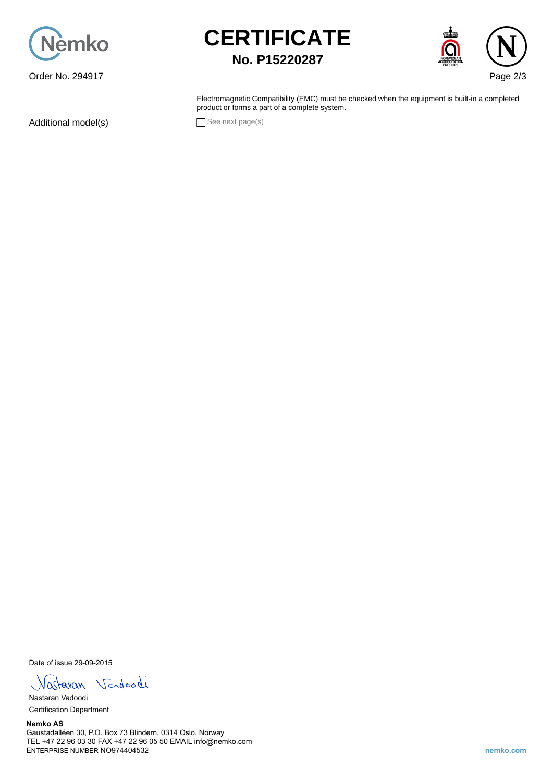





Electromagnetic Compatibility (EMC) must be checked when the equipment is built-in a completed product or forms a part of a complete system.

Additional model(s) See next page(s)

Date of issue 29-09-2015

Nastavan Vendoodi

Nastaran Vadoodi Certification Department

**Nemko AS** Gaustadalléen 30, P.O. Box 73 Blindern, 0314 Oslo, Norway TEL +47 22 96 03 30 FAX +47 22 96 05 50 EMAIL info@nemko.com ENTERPRISE NUMBER NO974404532 **nemko.com**